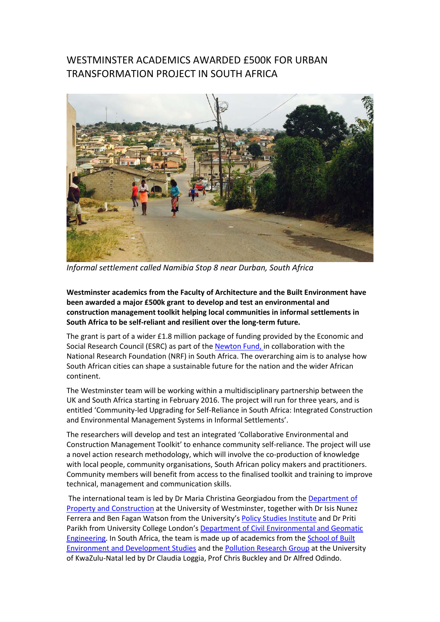## WESTMINSTER ACADEMICS AWARDED £500K FOR URBAN TRANSFORMATION PROJECT IN SOUTH AFRICA



*Informal settlement called Namibia Stop 8 near Durban, South Africa*

**Westminster academics from the Faculty of Architecture and the Built Environment have been awarded a major £500k grant to develop and test an environmental and construction management toolkit helping local communities in informal settlements in South Africa to be self-reliant and resilient over the long-term future.**

The grant is part of a wider £1.8 million package of funding provided by the Economic and Social Research Council (ESRC) as part of th[e Newton Fund,](http://www.urbantransformations.ox.ac.uk/funding/esrc-nrf-newton-call/) in collaboration with the National Research Foundation (NRF) in South Africa. The overarching aim is to analyse how South African cities can shape a sustainable future for the nation and the wider African continent.

The Westminster team will be working within a multidisciplinary partnership between the UK and South Africa starting in February 2016. The project will run for three years, and is entitled 'Community-led Upgrading for Self-Reliance in South Africa: Integrated Construction and Environmental Management Systems in Informal Settlements'.

The researchers will develop and test an integrated 'Collaborative Environmental and Construction Management Toolkit' to enhance community self-reliance. The project will use a novel action research methodology, which will involve the co-production of knowledge with local people, community organisations, South African policy makers and practitioners. Community members will benefit from access to the finalised toolkit and training to improve technical, management and communication skills.

The international team is led by Dr Maria Christina Georgiadou from the [Department of](https://www.westminster.ac.uk/courses/subjects/property-and-construction)  [Property and Construction](https://www.westminster.ac.uk/courses/subjects/property-and-construction) at the University of Westminster, together with Dr Isis Nunez Ferrera and Ben Fagan Watson from the University's [Policy Studies Institute](http://www.psi.org.uk/) and Dr Priti Parikh from University College London's [Department of Civil Environmental and Geomatic](http://www.cege.ucl.ac.uk/Pages/default.aspx)  [Engineering.](http://www.cege.ucl.ac.uk/Pages/default.aspx) In South Africa, the team is made up of academics from the [School of Built](http://sobeds.ukzn.ac.za/Homepage.aspx)  [Environment and Development Studies](http://sobeds.ukzn.ac.za/Homepage.aspx) and th[e Pollution Research Group](http://prg.ukzn.ac.za/) at the University of KwaZulu-Natal led by Dr Claudia Loggia, Prof Chris Buckley and Dr Alfred Odindo.